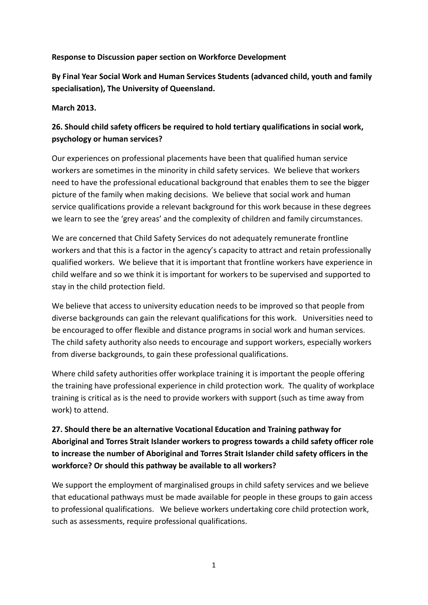#### **Response to Discussion paper section on Workforce Development**

**By Final Year Social Work and Human Services Students (advanced child, youth and family specialisation), The University of Queensland.** 

#### **March 2013.**

## **26. Should child safety officers be required to hold tertiary qualifications in social work, psychology or human services?**

Our experiences on professional placements have been that qualified human service workers are sometimes in the minority in child safety services. We believe that workers need to have the professional educational background that enables them to see the bigger picture of the family when making decisions. We believe that social work and human service qualifications provide a relevant background for this work because in these degrees we learn to see the 'grey areas' and the complexity of children and family circumstances.

We are concerned that Child Safety Services do not adequately remunerate frontline workers and that this is a factor in the agency's capacity to attract and retain professionally qualified workers. We believe that it is important that frontline workers have experience in child welfare and so we think it is important for workers to be supervised and supported to stay in the child protection field.

We believe that access to university education needs to be improved so that people from diverse backgrounds can gain the relevant qualifications for this work. Universities need to be encouraged to offer flexible and distance programs in social work and human services. The child safety authority also needs to encourage and support workers, especially workers from diverse backgrounds, to gain these professional qualifications.

Where child safety authorities offer workplace training it is important the people offering the training have professional experience in child protection work. The quality of workplace training is critical as is the need to provide workers with support (such as time away from work) to attend.

## **27. Should there be an alternative Vocational Education and Training pathway for Aboriginal and Torres Strait Islander workers to progress towards a child safety officer role to increase the number of Aboriginal and Torres Strait Islander child safety officers in the workforce? Or should this pathway be available to all workers?**

We support the employment of marginalised groups in child safety services and we believe that educational pathways must be made available for people in these groups to gain access to professional qualifications. We believe workers undertaking core child protection work, such as assessments, require professional qualifications.